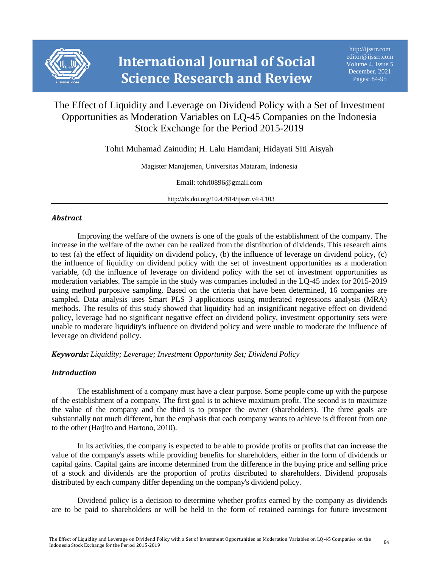

# The Effect of Liquidity and Leverage on Dividend Policy with a Set of Investment Opportunities as Moderation Variables on LQ-45 Companies on the Indonesia Stock Exchange for the Period 2015-2019

Tohri Muhamad Zainudin; H. Lalu Hamdani; Hidayati Siti Aisyah

Magister Manajemen, Universitas Mataram, Indonesia

Email: tohri0896@gmail.com

http://dx.doi.org/10.47814/ijssrr.v4i4.103

# *Abstract*

Improving the welfare of the owners is one of the goals of the establishment of the company. The increase in the welfare of the owner can be realized from the distribution of dividends. This research aims to test (a) the effect of liquidity on dividend policy, (b) the influence of leverage on dividend policy, (c) the influence of liquidity on dividend policy with the set of investment opportunities as a moderation variable, (d) the influence of leverage on dividend policy with the set of investment opportunities as moderation variables. The sample in the study was companies included in the LQ-45 index for 2015-2019 using method purposive sampling. Based on the criteria that have been determined, 16 companies are sampled. Data analysis uses Smart PLS 3 applications using moderated regressions analysis (MRA) methods. The results of this study showed that liquidity had an insignificant negative effect on dividend policy, leverage had no significant negative effect on dividend policy, investment opportunity sets were unable to moderate liquidity's influence on dividend policy and were unable to moderate the influence of leverage on dividend policy.

*Keywords: Liquidity; Leverage; Investment Opportunity Set; Dividend Policy*

# *Introduction*

The establishment of a company must have a clear purpose. Some people come up with the purpose of the establishment of a company. The first goal is to achieve maximum profit. The second is to maximize the value of the company and the third is to prosper the owner (shareholders). The three goals are substantially not much different, but the emphasis that each company wants to achieve is different from one to the other (Harjito and Hartono, 2010).

In its activities, the company is expected to be able to provide profits or profits that can increase the value of the company's assets while providing benefits for shareholders, either in the form of dividends or capital gains. Capital gains are income determined from the difference in the buying price and selling price of a stock and dividends are the proportion of profits distributed to shareholders. Dividend proposals distributed by each company differ depending on the company's dividend policy.

Dividend policy is a decision to determine whether profits earned by the company as dividends are to be paid to shareholders or will be held in the form of retained earnings for future investment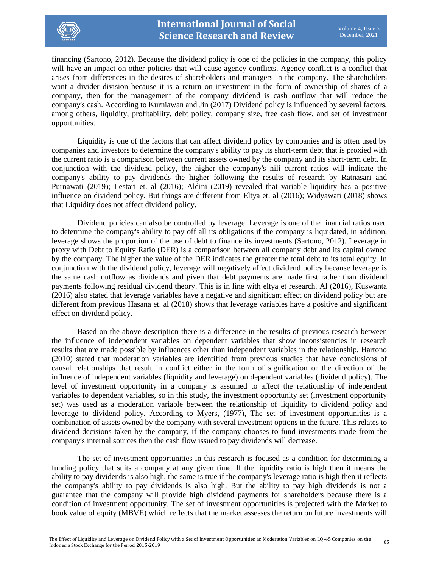

financing (Sartono, 2012). Because the dividend policy is one of the policies in the company, this policy will have an impact on other policies that will cause agency conflicts. Agency conflict is a conflict that arises from differences in the desires of shareholders and managers in the company. The shareholders want a divider division because it is a return on investment in the form of ownership of shares of a company, then for the management of the company dividend is cash outflow that will reduce the company's cash. According to Kurniawan and Jin (2017) Dividend policy is influenced by several factors, among others, liquidity, profitability, debt policy, company size, free cash flow, and set of investment opportunities.

Liquidity is one of the factors that can affect dividend policy by companies and is often used by companies and investors to determine the company's ability to pay its short-term debt that is proxied with the current ratio is a comparison between current assets owned by the company and its short-term debt. In conjunction with the dividend policy, the higher the company's nili current ratios will indicate the company's ability to pay dividends the higher following the results of research by Ratnasari and Purnawati (2019); Lestari et. al (2016); Aldini (2019) revealed that variable liquidity has a positive influence on dividend policy. But things are different from Eltya et. al (2016); Widyawati (2018) shows that Liquidity does not affect dividend policy.

Dividend policies can also be controlled by leverage. Leverage is one of the financial ratios used to determine the company's ability to pay off all its obligations if the company is liquidated, in addition, leverage shows the proportion of the use of debt to finance its investments (Sartono, 2012). Leverage in proxy with Debt to Equity Ratio (DER) is a comparison between all company debt and its capital owned by the company. The higher the value of the DER indicates the greater the total debt to its total equity. In conjunction with the dividend policy, leverage will negatively affect dividend policy because leverage is the same cash outflow as dividends and given that debt payments are made first rather than dividend payments following residual dividend theory. This is in line with eltya et research. Al (2016), Kuswanta (2016) also stated that leverage variables have a negative and significant effect on dividend policy but are different from previous Hasana et. al (2018) shows that leverage variables have a positive and significant effect on dividend policy.

Based on the above description there is a difference in the results of previous research between the influence of independent variables on dependent variables that show inconsistencies in research results that are made possible by influences other than independent variables in the relationship. Hartono (2010) stated that moderation variables are identified from previous studies that have conclusions of causal relationships that result in conflict either in the form of signification or the direction of the influence of independent variables (liquidity and leverage) on dependent variables (dividend policy). The level of investment opportunity in a company is assumed to affect the relationship of independent variables to dependent variables, so in this study, the investment opportunity set (investment opportunity set) was used as a moderation variable between the relationship of liquidity to dividend policy and leverage to dividend policy. According to Myers, (1977), The set of investment opportunities is a combination of assets owned by the company with several investment options in the future. This relates to dividend decisions taken by the company, if the company chooses to fund investments made from the company's internal sources then the cash flow issued to pay dividends will decrease.

The set of investment opportunities in this research is focused as a condition for determining a funding policy that suits a company at any given time. If the liquidity ratio is high then it means the ability to pay dividends is also high, the same is true if the company's leverage ratio is high then it reflects the company's ability to pay dividends is also high. But the ability to pay high dividends is not a guarantee that the company will provide high dividend payments for shareholders because there is a condition of investment opportunity. The set of investment opportunities is projected with the Market to book value of equity (MBVE) which reflects that the market assesses the return on future investments will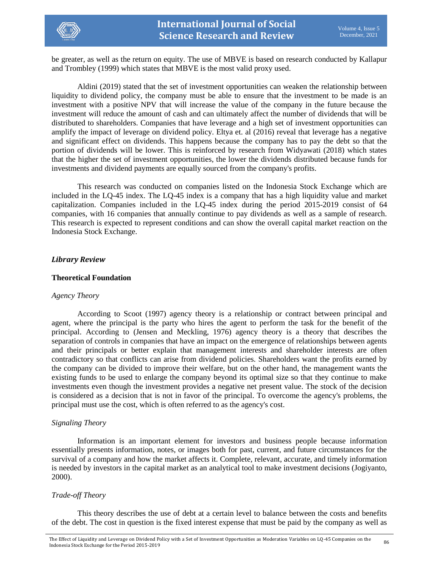

be greater, as well as the return on equity. The use of MBVE is based on research conducted by Kallapur and Trombley (1999) which states that MBVE is the most valid proxy used.

Aldini (2019) stated that the set of investment opportunities can weaken the relationship between liquidity to dividend policy, the company must be able to ensure that the investment to be made is an investment with a positive NPV that will increase the value of the company in the future because the investment will reduce the amount of cash and can ultimately affect the number of dividends that will be distributed to shareholders. Companies that have leverage and a high set of investment opportunities can amplify the impact of leverage on dividend policy. Eltya et. al (2016) reveal that leverage has a negative and significant effect on dividends. This happens because the company has to pay the debt so that the portion of dividends will be lower. This is reinforced by research from Widyawati (2018) which states that the higher the set of investment opportunities, the lower the dividends distributed because funds for investments and dividend payments are equally sourced from the company's profits.

This research was conducted on companies listed on the Indonesia Stock Exchange which are included in the LQ-45 index. The LQ-45 index is a company that has a high liquidity value and market capitalization. Companies included in the LQ-45 index during the period 2015-2019 consist of 64 companies, with 16 companies that annually continue to pay dividends as well as a sample of research. This research is expected to represent conditions and can show the overall capital market reaction on the Indonesia Stock Exchange.

### *Library Review*

### **Theoretical Foundation**

### *Agency Theory*

According to Scoot (1997) agency theory is a relationship or contract between principal and agent, where the principal is the party who hires the agent to perform the task for the benefit of the principal. According to (Jensen and Meckling, 1976) agency theory is a theory that describes the separation of controls in companies that have an impact on the emergence of relationships between agents and their principals or better explain that management interests and shareholder interests are often contradictory so that conflicts can arise from dividend policies. Shareholders want the profits earned by the company can be divided to improve their welfare, but on the other hand, the management wants the existing funds to be used to enlarge the company beyond its optimal size so that they continue to make investments even though the investment provides a negative net present value. The stock of the decision is considered as a decision that is not in favor of the principal. To overcome the agency's problems, the principal must use the cost, which is often referred to as the agency's cost.

# *Signaling Theory*

Information is an important element for investors and business people because information essentially presents information, notes, or images both for past, current, and future circumstances for the survival of a company and how the market affects it. Complete, relevant, accurate, and timely information is needed by investors in the capital market as an analytical tool to make investment decisions (Jogiyanto, 2000).

# *Trade-off Theory*

This theory describes the use of debt at a certain level to balance between the costs and benefits of the debt. The cost in question is the fixed interest expense that must be paid by the company as well as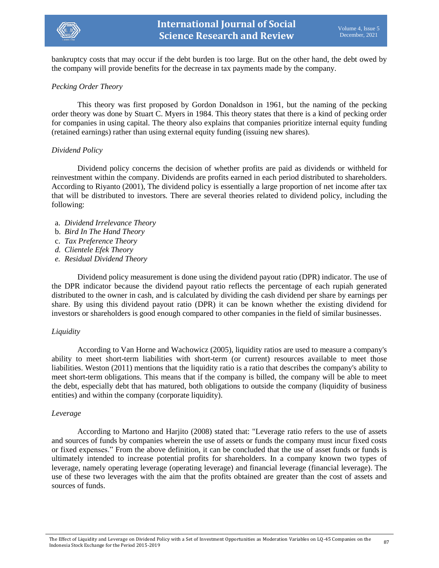

bankruptcy costs that may occur if the debt burden is too large. But on the other hand, the debt owed by the company will provide benefits for the decrease in tax payments made by the company.

### *Pecking Order Theory*

This theory was first proposed by Gordon Donaldson in 1961, but the naming of the pecking order theory was done by Stuart C. Myers in 1984. This theory states that there is a kind of pecking order for companies in using capital. The theory also explains that companies prioritize internal equity funding (retained earnings) rather than using external equity funding (issuing new shares).

### *Dividend Policy*

Dividend policy concerns the decision of whether profits are paid as dividends or withheld for reinvestment within the company. Dividends are profits earned in each period distributed to shareholders. According to Riyanto (2001), The dividend policy is essentially a large proportion of net income after tax that will be distributed to investors. There are several theories related to dividend policy, including the following:

- a. *Dividend Irrelevance Theory*
- b. *Bird In The Hand Theory*
- c. *Tax Preference Theory*
- *d. Clientele Efek Theory*
- *e. Residual Dividend Theory*

Dividend policy measurement is done using the dividend payout ratio (DPR) indicator. The use of the DPR indicator because the dividend payout ratio reflects the percentage of each rupiah generated distributed to the owner in cash, and is calculated by dividing the cash dividend per share by earnings per share. By using this dividend payout ratio (DPR) it can be known whether the existing dividend for investors or shareholders is good enough compared to other companies in the field of similar businesses.

### *Liquidity*

According to Van Horne and Wachowicz (2005), liquidity ratios are used to measure a company's ability to meet short-term liabilities with short-term (or current) resources available to meet those liabilities. Weston (2011) mentions that the liquidity ratio is a ratio that describes the company's ability to meet short-term obligations. This means that if the company is billed, the company will be able to meet the debt, especially debt that has matured, both obligations to outside the company (liquidity of business entities) and within the company (corporate liquidity).

### *Leverage*

According to Martono and Harjito (2008) stated that: "Leverage ratio refers to the use of assets and sources of funds by companies wherein the use of assets or funds the company must incur fixed costs or fixed expenses." From the above definition, it can be concluded that the use of asset funds or funds is ultimately intended to increase potential profits for shareholders. In a company known two types of leverage, namely operating leverage (operating leverage) and financial leverage (financial leverage). The use of these two leverages with the aim that the profits obtained are greater than the cost of assets and sources of funds.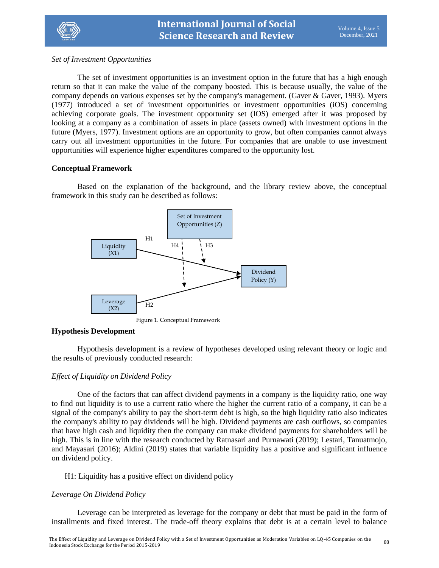

*Set of Investment Opportunities*

The set of investment opportunities is an investment option in the future that has a high enough return so that it can make the value of the company boosted. This is because usually, the value of the company depends on various expenses set by the company's management. (Gaver & Gaver, 1993). Myers (1977) introduced a set of investment opportunities or investment opportunities (iOS) concerning achieving corporate goals. The investment opportunity set (IOS) emerged after it was proposed by looking at a company as a combination of assets in place (assets owned) with investment options in the future (Myers, 1977). Investment options are an opportunity to grow, but often companies cannot always carry out all investment opportunities in the future. For companies that are unable to use investment opportunities will experience higher expenditures compared to the opportunity lost.

# **Conceptual Framework**

Based on the explanation of the background, and the library review above, the conceptual framework in this study can be described as follows:



Figure 1. Conceptual Framework

# **Hypothesis Development**

Hypothesis development is a review of hypotheses developed using relevant theory or logic and the results of previously conducted research:

# *Effect of Liquidity on Dividend Policy*

One of the factors that can affect dividend payments in a company is the liquidity ratio, one way to find out liquidity is to use a current ratio where the higher the current ratio of a company, it can be a signal of the company's ability to pay the short-term debt is high, so the high liquidity ratio also indicates the company's ability to pay dividends will be high. Dividend payments are cash outflows, so companies that have high cash and liquidity then the company can make dividend payments for shareholders will be high. This is in line with the research conducted by Ratnasari and Purnawati (2019); Lestari, Tanuatmojo, and Mayasari (2016); Aldini (2019) states that variable liquidity has a positive and significant influence on dividend policy.

# H1: Liquidity has a positive effect on dividend policy

# *Leverage On Dividend Policy*

Leverage can be interpreted as leverage for the company or debt that must be paid in the form of installments and fixed interest. The trade-off theory explains that debt is at a certain level to balance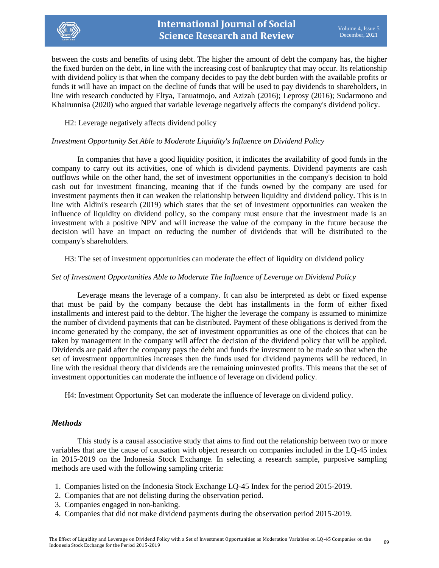

between the costs and benefits of using debt. The higher the amount of debt the company has, the higher the fixed burden on the debt, in line with the increasing cost of bankruptcy that may occur. Its relationship with dividend policy is that when the company decides to pay the debt burden with the available profits or funds it will have an impact on the decline of funds that will be used to pay dividends to shareholders, in line with research conducted by Eltya, Tanuatmojo, and Azizah (2016); Leprosy (2016); Sudarmono and Khairunnisa (2020) who argued that variable leverage negatively affects the company's dividend policy.

H2: Leverage negatively affects dividend policy

# *Investment Opportunity Set Able to Moderate Liquidity's Influence on Dividend Policy*

In companies that have a good liquidity position, it indicates the availability of good funds in the company to carry out its activities, one of which is dividend payments. Dividend payments are cash outflows while on the other hand, the set of investment opportunities in the company's decision to hold cash out for investment financing, meaning that if the funds owned by the company are used for investment payments then it can weaken the relationship between liquidity and dividend policy. This is in line with Aldini's research (2019) which states that the set of investment opportunities can weaken the influence of liquidity on dividend policy, so the company must ensure that the investment made is an investment with a positive NPV and will increase the value of the company in the future because the decision will have an impact on reducing the number of dividends that will be distributed to the company's shareholders.

H3: The set of investment opportunities can moderate the effect of liquidity on dividend policy

# *Set of Investment Opportunities Able to Moderate The Influence of Leverage on Dividend Policy*

Leverage means the leverage of a company. It can also be interpreted as debt or fixed expense that must be paid by the company because the debt has installments in the form of either fixed installments and interest paid to the debtor. The higher the leverage the company is assumed to minimize the number of dividend payments that can be distributed. Payment of these obligations is derived from the income generated by the company, the set of investment opportunities as one of the choices that can be taken by management in the company will affect the decision of the dividend policy that will be applied. Dividends are paid after the company pays the debt and funds the investment to be made so that when the set of investment opportunities increases then the funds used for dividend payments will be reduced, in line with the residual theory that dividends are the remaining uninvested profits. This means that the set of investment opportunities can moderate the influence of leverage on dividend policy.

H4: Investment Opportunity Set can moderate the influence of leverage on dividend policy.

# *Methods*

This study is a causal associative study that aims to find out the relationship between two or more variables that are the cause of causation with object research on companies included in the LQ-45 index in 2015-2019 on the Indonesia Stock Exchange. In selecting a research sample, purposive sampling methods are used with the following sampling criteria:

- 1. Companies listed on the Indonesia Stock Exchange LQ-45 Index for the period 2015-2019.
- 2. Companies that are not delisting during the observation period.
- 3. Companies engaged in non-banking.
- 4. Companies that did not make dividend payments during the observation period 2015-2019.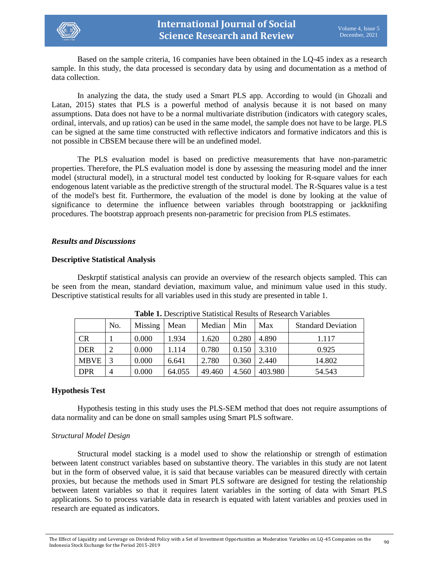

Based on the sample criteria, 16 companies have been obtained in the LQ-45 index as a research sample. In this study, the data processed is secondary data by using and documentation as a method of data collection.

In analyzing the data, the study used a Smart PLS app. According to would (in Ghozali and Latan, 2015) states that PLS is a powerful method of analysis because it is not based on many assumptions. Data does not have to be a normal multivariate distribution (indicators with category scales, ordinal, intervals, and up ratios) can be used in the same model, the sample does not have to be large. PLS can be signed at the same time constructed with reflective indicators and formative indicators and this is not possible in CBSEM because there will be an undefined model.

The PLS evaluation model is based on predictive measurements that have non-parametric properties. Therefore, the PLS evaluation model is done by assessing the measuring model and the inner model (structural model), in a structural model test conducted by looking for R-square values for each endogenous latent variable as the predictive strength of the structural model. The R-Squares value is a test of the model's best fit. Furthermore, the evaluation of the model is done by looking at the value of significance to determine the influence between variables through bootstrapping or jackknifing procedures. The bootstrap approach presents non-parametric for precision from PLS estimates.

### *Results and Discussions*

### **Descriptive Statistical Analysis**

Deskrptif statistical analysis can provide an overview of the research objects sampled. This can be seen from the mean, standard deviation, maximum value, and minimum value used in this study. Descriptive statistical results for all variables used in this study are presented in table 1.

| Tuble II Describitive Diamstreal Results of Research Tartacles |     |         |        |        |       |         |                           |  |  |  |
|----------------------------------------------------------------|-----|---------|--------|--------|-------|---------|---------------------------|--|--|--|
|                                                                | No. | Missing | Mean   | Median | Min   | Max     | <b>Standard Deviation</b> |  |  |  |
| <b>CR</b>                                                      |     | 0.000   | 1.934  | 1.620  | 0.280 | 4.890   | 1.117                     |  |  |  |
| <b>DER</b>                                                     |     | 0.000   | 1.114  | 0.780  | 0.150 | 3.310   | 0.925                     |  |  |  |
| <b>MBVE</b>                                                    | 3   | 0.000   | 6.641  | 2.780  | 0.360 | 2.440   | 14.802                    |  |  |  |
| <b>DPR</b>                                                     | 4   | 0.000   | 64.055 | 49.460 | 4.560 | 403.980 | 54.543                    |  |  |  |

**Table 1.** Descriptive Statistical Results of Research Variables

# **Hypothesis Test**

Hypothesis testing in this study uses the PLS-SEM method that does not require assumptions of data normality and can be done on small samples using Smart PLS software.

# *Structural Model Design*

Structural model stacking is a model used to show the relationship or strength of estimation between latent construct variables based on substantive theory. The variables in this study are not latent but in the form of observed value, it is said that because variables can be measured directly with certain proxies, but because the methods used in Smart PLS software are designed for testing the relationship between latent variables so that it requires latent variables in the sorting of data with Smart PLS applications. So to process variable data in research is equated with latent variables and proxies used in research are equated as indicators.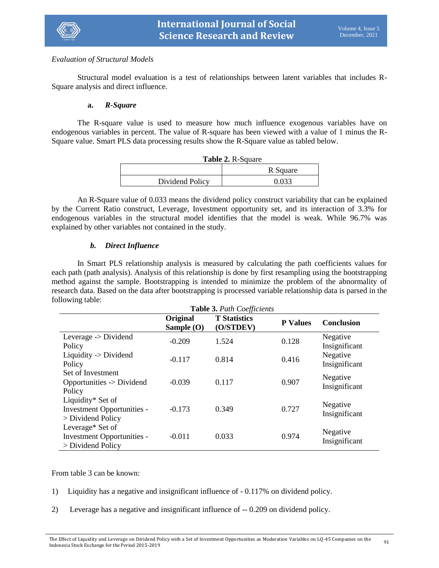

# *Evaluation of Structural Models*

Structural model evaluation is a test of relationships between latent variables that includes R-Square analysis and direct influence.

# **a.** *R-Square*

The R-square value is used to measure how much influence exogenous variables have on endogenous variables in percent. The value of R-square has been viewed with a value of 1 minus the R-Square value. Smart PLS data processing results show the R-Square value as tabled below.

| <b>Table 2. R-Square</b> |          |  |  |  |  |  |
|--------------------------|----------|--|--|--|--|--|
|                          | R Square |  |  |  |  |  |
| Dividend Policy          | 0.033    |  |  |  |  |  |

An R-Square value of 0.033 means the dividend policy construct variability that can be explained by the Current Ratio construct, Leverage, Investment opportunity set, and its interaction of 3.3% for endogenous variables in the structural model identifies that the model is weak. While 96.7% was explained by other variables not contained in the study.

# *b. Direct Influence*

In Smart PLS relationship analysis is measured by calculating the path coefficients values for each path (path analysis). Analysis of this relationship is done by first resampling using the bootstrapping method against the sample. Bootstrapping is intended to minimize the problem of the abnormality of research data. Based on the data after bootstrapping is processed variable relationship data is parsed in the following table:

| <b>Table 3. Path Coefficients</b>                                             |                          |                                  |                 |                           |  |  |  |  |
|-------------------------------------------------------------------------------|--------------------------|----------------------------------|-----------------|---------------------------|--|--|--|--|
|                                                                               | Original<br>Sample $(O)$ | <b>T</b> Statistics<br>(O/STDEV) | <b>P</b> Values | <b>Conclusion</b>         |  |  |  |  |
| Leverage -> Dividend<br>Policy                                                | $-0.209$                 | 1.524                            | 0.128           | Negative<br>Insignificant |  |  |  |  |
| Liquidity $\rightarrow$ Dividend<br>Policy                                    | $-0.117$                 | 0.814                            | 0.416           | Negative<br>Insignificant |  |  |  |  |
| Set of Investment<br>Opportunities -> Dividend<br>Policy                      | $-0.039$                 | 0.117                            | 0.907           | Negative<br>Insignificant |  |  |  |  |
| Liquidity* Set of<br><b>Investment Opportunities -</b><br>$>$ Dividend Policy | $-0.173$                 | 0.349                            | 0.727           | Negative<br>Insignificant |  |  |  |  |
| Leverage* Set of<br>Investment Opportunities -<br>$>$ Dividend Policy         | $-0.011$                 | 0.033                            | 0.974           | Negative<br>Insignificant |  |  |  |  |

From table 3 can be known:

- 1) Liquidity has a negative and insignificant influence of 0.117% on dividend policy.
- 2) Leverage has a negative and insignificant influence of -- 0.209 on dividend policy.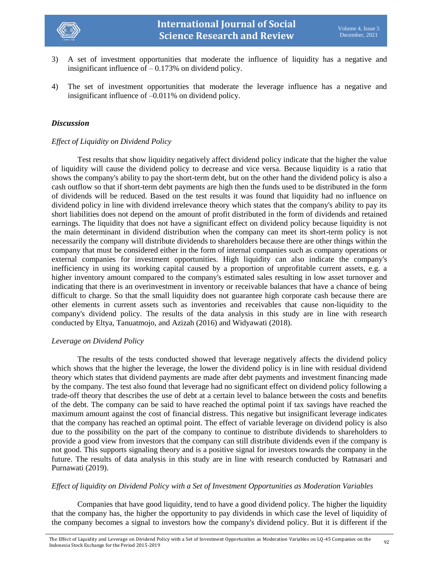

- 3) A set of investment opportunities that moderate the influence of liquidity has a negative and insignificant influence of  $-0.173%$  on dividend policy.
- 4) The set of investment opportunities that moderate the leverage influence has a negative and insignificant influence of –0.011% on dividend policy.

### *Discussion*

### *Effect of Liquidity on Dividend Policy*

Test results that show liquidity negatively affect dividend policy indicate that the higher the value of liquidity will cause the dividend policy to decrease and vice versa. Because liquidity is a ratio that shows the company's ability to pay the short-term debt, but on the other hand the dividend policy is also a cash outflow so that if short-term debt payments are high then the funds used to be distributed in the form of dividends will be reduced. Based on the test results it was found that liquidity had no influence on dividend policy in line with dividend irrelevance theory which states that the company's ability to pay its short liabilities does not depend on the amount of profit distributed in the form of dividends and retained earnings. The liquidity that does not have a significant effect on dividend policy because liquidity is not the main determinant in dividend distribution when the company can meet its short-term policy is not necessarily the company will distribute dividends to shareholders because there are other things within the company that must be considered either in the form of internal companies such as company operations or external companies for investment opportunities. High liquidity can also indicate the company's inefficiency in using its working capital caused by a proportion of unprofitable current assets, e.g. a higher inventory amount compared to the company's estimated sales resulting in low asset turnover and indicating that there is an overinvestment in inventory or receivable balances that have a chance of being difficult to charge. So that the small liquidity does not guarantee high corporate cash because there are other elements in current assets such as inventories and receivables that cause non-liquidity to the company's dividend policy. The results of the data analysis in this study are in line with research conducted by Eltya, Tanuatmojo, and Azizah (2016) and Widyawati (2018).

# *Leverage on Dividend Policy*

The results of the tests conducted showed that leverage negatively affects the dividend policy which shows that the higher the leverage, the lower the dividend policy is in line with residual dividend theory which states that dividend payments are made after debt payments and investment financing made by the company. The test also found that leverage had no significant effect on dividend policy following a trade-off theory that describes the use of debt at a certain level to balance between the costs and benefits of the debt. The company can be said to have reached the optimal point if tax savings have reached the maximum amount against the cost of financial distress. This negative but insignificant leverage indicates that the company has reached an optimal point. The effect of variable leverage on dividend policy is also due to the possibility on the part of the company to continue to distribute dividends to shareholders to provide a good view from investors that the company can still distribute dividends even if the company is not good. This supports signaling theory and is a positive signal for investors towards the company in the future. The results of data analysis in this study are in line with research conducted by Ratnasari and Purnawati (2019).

### *Effect of liquidity on Dividend Policy with a Set of Investment Opportunities as Moderation Variables*

Companies that have good liquidity, tend to have a good dividend policy. The higher the liquidity that the company has, the higher the opportunity to pay dividends in which case the level of liquidity of the company becomes a signal to investors how the company's dividend policy. But it is different if the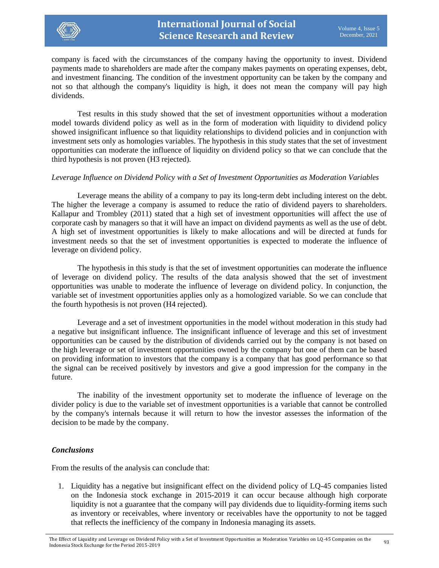

company is faced with the circumstances of the company having the opportunity to invest. Dividend payments made to shareholders are made after the company makes payments on operating expenses, debt, and investment financing. The condition of the investment opportunity can be taken by the company and not so that although the company's liquidity is high, it does not mean the company will pay high dividends.

Test results in this study showed that the set of investment opportunities without a moderation model towards dividend policy as well as in the form of moderation with liquidity to dividend policy showed insignificant influence so that liquidity relationships to dividend policies and in conjunction with investment sets only as homologies variables. The hypothesis in this study states that the set of investment opportunities can moderate the influence of liquidity on dividend policy so that we can conclude that the third hypothesis is not proven (H3 rejected).

# *Leverage Influence on Dividend Policy with a Set of Investment Opportunities as Moderation Variables*

Leverage means the ability of a company to pay its long-term debt including interest on the debt. The higher the leverage a company is assumed to reduce the ratio of dividend payers to shareholders. Kallapur and Trombley (2011) stated that a high set of investment opportunities will affect the use of corporate cash by managers so that it will have an impact on dividend payments as well as the use of debt. A high set of investment opportunities is likely to make allocations and will be directed at funds for investment needs so that the set of investment opportunities is expected to moderate the influence of leverage on dividend policy.

The hypothesis in this study is that the set of investment opportunities can moderate the influence of leverage on dividend policy. The results of the data analysis showed that the set of investment opportunities was unable to moderate the influence of leverage on dividend policy. In conjunction, the variable set of investment opportunities applies only as a homologized variable. So we can conclude that the fourth hypothesis is not proven (H4 rejected).

Leverage and a set of investment opportunities in the model without moderation in this study had a negative but insignificant influence. The insignificant influence of leverage and this set of investment opportunities can be caused by the distribution of dividends carried out by the company is not based on the high leverage or set of investment opportunities owned by the company but one of them can be based on providing information to investors that the company is a company that has good performance so that the signal can be received positively by investors and give a good impression for the company in the future.

The inability of the investment opportunity set to moderate the influence of leverage on the divider policy is due to the variable set of investment opportunities is a variable that cannot be controlled by the company's internals because it will return to how the investor assesses the information of the decision to be made by the company.

# *Conclusions*

From the results of the analysis can conclude that:

1. Liquidity has a negative but insignificant effect on the dividend policy of LQ-45 companies listed on the Indonesia stock exchange in 2015-2019 it can occur because although high corporate liquidity is not a guarantee that the company will pay dividends due to liquidity-forming items such as inventory or receivables, where inventory or receivables have the opportunity to not be tagged that reflects the inefficiency of the company in Indonesia managing its assets.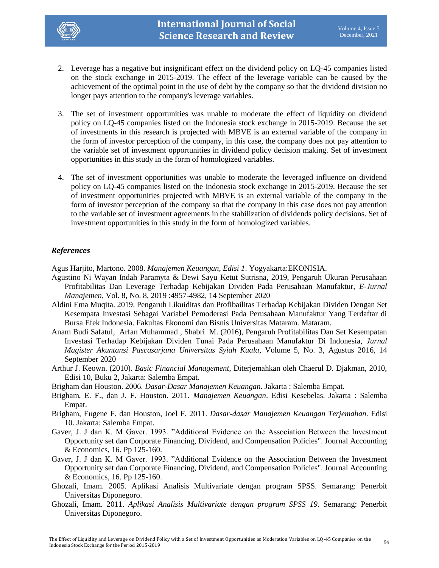

- 2. Leverage has a negative but insignificant effect on the dividend policy on LQ-45 companies listed on the stock exchange in 2015-2019. The effect of the leverage variable can be caused by the achievement of the optimal point in the use of debt by the company so that the dividend division no longer pays attention to the company's leverage variables.
- 3. The set of investment opportunities was unable to moderate the effect of liquidity on dividend policy on LQ-45 companies listed on the Indonesia stock exchange in 2015-2019. Because the set of investments in this research is projected with MBVE is an external variable of the company in the form of investor perception of the company, in this case, the company does not pay attention to the variable set of investment opportunities in dividend policy decision making. Set of investment opportunities in this study in the form of homologized variables.
- 4. The set of investment opportunities was unable to moderate the leveraged influence on dividend policy on LQ-45 companies listed on the Indonesia stock exchange in 2015-2019. Because the set of investment opportunities projected with MBVE is an external variable of the company in the form of investor perception of the company so that the company in this case does not pay attention to the variable set of investment agreements in the stabilization of dividends policy decisions. Set of investment opportunities in this study in the form of homologized variables.

# *References*

Agus Harjito, Martono. 2008. *Manajemen Keuangan, Edisi 1*. Yogyakarta:EKONISIA.

- Agustino Ni Wayan Indah Paramyta & Dewi Sayu Ketut Sutrisna, 2019, Pengaruh Ukuran Perusahaan Profitabilitas Dan Leverage Terhadap Kebijakan Dividen Pada Perusahaan Manufaktur, *E-Jurnal Manajemen*, Vol. 8, No. 8, 2019 :4957-4982, 14 September 2020
- Aldini Ema Muqita. 2019. Pengaruh Likuiditas dan Profibailitas Terhadap Kebijakan Dividen Dengan Set Kesempata Investasi Sebagai Variabel Pemoderasi Pada Perusahaan Manufaktur Yang Terdaftar di Bursa Efek Indonesia. Fakultas Ekonomi dan Bisnis Universitas Mataram. Mataram.
- Anam Budi Safatul, Arfan Muhammad , Shabri M. (2016), Pengaruh Profitabilitas Dan Set Kesempatan Investasi Terhadap Kebijakan Dividen Tunai Pada Perusahaan Manufaktur Di Indonesia, *Jurnal Magister Akuntansi Pascasarjana Universitas Syiah Kuala*, Volume 5, No. 3, Agustus 2016, 14 September 2020
- Arthur J. Keown. (2010). *Basic Financial Management*, Diterjemahkan oleh Chaerul D. Djakman, 2010, Edisi 10, Buku 2, Jakarta: Salemba Empat.
- Brigham dan Houston. 2006. *Dasar-Dasar Manajemen Keuangan*. Jakarta : Salemba Empat.
- Brigham, E. F., dan J. F. Houston. 2011. *Manajemen Keuangan*. Edisi Kesebelas. Jakarta : Salemba Empat.
- Brigham, Eugene F. dan Houston, Joel F. 2011. *Dasar-dasar Manajemen Keuangan Terjemahan*. Edisi 10. Jakarta: Salemba Empat.
- Gaver, J. J dan K. M Gaver. 1993. "Additional Evidence on the Association Between the Investment Opportunity set dan Corporate Financing, Dividend, and Compensation Policies". Journal Accounting & Economics, 16. Pp 125-160.
- Gaver, J. J dan K. M Gaver. 1993. "Additional Evidence on the Association Between the Investment Opportunity set dan Corporate Financing, Dividend, and Compensation Policies". Journal Accounting & Economics, 16. Pp 125-160.
- Ghozali, Imam. 2005. Aplikasi Analisis Multivariate dengan program SPSS. Semarang: Penerbit Universitas Diponegoro.
- Ghozali, Imam. 2011. *Aplikasi Analisis Multivariate dengan program SPSS 19*. Semarang: Penerbit Universitas Diponegoro.

The Effect of Liquidity and Leverage on Dividend Policy with a Set of Investment Opportunities as Moderation Variables on LQ-45 Companies on the g4<br>Indonesia Stock Exchange for the Period 2015-2019